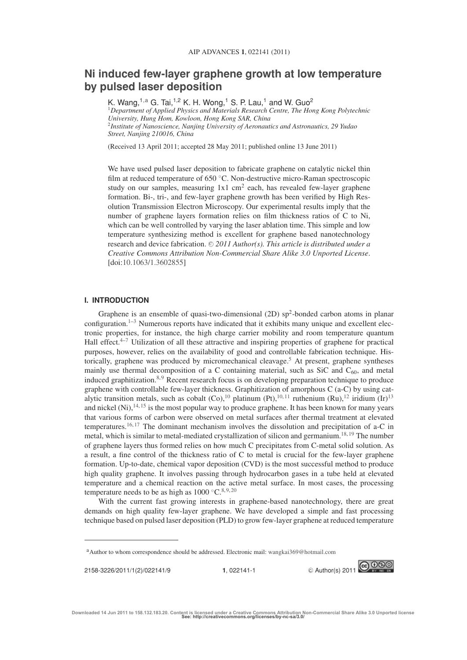# **Ni induced few-layer graphene growth at low temperature by pulsed laser deposition**

K. Wang,<sup>1,a</sup> G. Tai,<sup>1,2</sup> K. H. Wong,<sup>1</sup> S. P. Lau,<sup>1</sup> and W. Guo<sup>2</sup> <sup>1</sup>*Department of Applied Physics and Materials Research Centre, The Hong Kong Polytechnic University, Hung Hom, Kowloon, Hong Kong SAR, China* <sup>2</sup>*Institute of Nanoscience, Nanjing University of Aeronautics and Astronautics, 29 Yudao Street, Nanjing 210016, China*

(Received 13 April 2011; accepted 28 May 2011; published online 13 June 2011)

We have used pulsed laser deposition to fabricate graphene on catalytic nickel thin film at reduced temperature of 650 °C. Non-destructive micro-Raman spectroscopic study on our samples, measuring  $1x1 \text{ cm}^2$  each, has revealed few-layer graphene formation. Bi-, tri-, and few-layer graphene growth has been verified by High Resolution Transmission Electron Microscopy. Our experimental results imply that the number of graphene layers formation relies on film thickness ratios of C to Ni, which can be well controlled by varying the laser ablation time. This simple and low temperature synthesizing method is excellent for graphene based nanotechnology research and device fabrication. © 2011 Author(s). This article is distributed under a *Creative Commons Attribution Non-Commercial Share Alike 3.0 Unported License*. [doi:10.1063/1.3602855]

# **I. INTRODUCTION**

Graphene is an ensemble of quasi-two-dimensional  $(2D)$  sp<sup>2</sup>-bonded carbon atoms in planar configuration.<sup>1–3</sup> Numerous reports have indicated that it exhibits many unique and excellent electronic properties, for instance, the high charge carrier mobility and room temperature quantum Hall effect. $4-7$  Utilization of all these attractive and inspiring properties of graphene for practical purposes, however, relies on the availability of good and controllable fabrication technique. Historically, graphene was produced by micromechanical cleavage.<sup>5</sup> At present, graphene syntheses mainly use thermal decomposition of a C containing material, such as SiC and  $C_{60}$ , and metal induced graphitization. $8,9$  Recent research focus is on developing preparation technique to produce graphene with controllable few-layer thickness. Graphitization of amorphous C (a-C) by using catalytic transition metals, such as cobalt  $(Co)$ ,<sup>10</sup> platinum (Pt),<sup>10, 11</sup> ruthenium (Ru),<sup>12</sup> iridium (Ir)<sup>13</sup> and nickel (Ni), $^{14, 15}$  is the most popular way to produce graphene. It has been known for many years that various forms of carbon were observed on metal surfaces after thermal treatment at elevated temperatures.<sup>16, 17</sup> The dominant mechanism involves the dissolution and precipitation of a-C in metal, which is similar to metal-mediated crystallization of silicon and germanium.<sup>18, 19</sup> The number of graphene layers thus formed relies on how much C precipitates from C-metal solid solution. As a result, a fine control of the thickness ratio of C to metal is crucial for the few-layer graphene formation. Up-to-date, chemical vapor deposition (CVD) is the most successful method to produce high quality graphene. It involves passing through hydrocarbon gases in a tube held at elevated temperature and a chemical reaction on the active metal surface. In most cases, the processing temperature needs to be as high as  $1000 °C<sup>8,9,20</sup>$ 

With the current fast growing interests in graphene-based nanotechnology, there are great demands on high quality few-layer graphene. We have developed a simple and fast processing technique based on pulsed laser deposition (PLD) to grow few-layer graphene at reduced temperature



aAuthor to whom correspondence should be addressed. Electronic mail: wangkai369@hotmail.com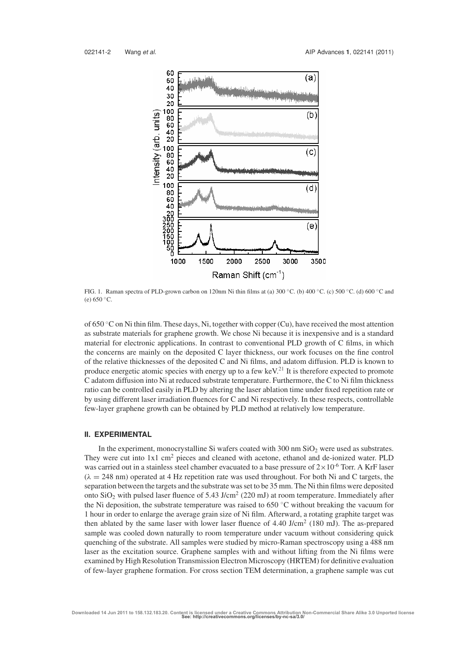

FIG. 1. Raman spectra of PLD-grown carbon on 120nm Ni thin films at (a) 300 ◦C. (b) 400 ◦C. (c) 500 ◦C. (d) 600 ◦C and (e)  $650 °C$ .

of 650 ◦C on Ni thin film. These days, Ni, together with copper (Cu), have received the most attention as substrate materials for graphene growth. We chose Ni because it is inexpensive and is a standard material for electronic applications. In contrast to conventional PLD growth of C films, in which the concerns are mainly on the deposited C layer thickness, our work focuses on the fine control of the relative thicknesses of the deposited C and Ni films, and adatom diffusion. PLD is known to produce energetic atomic species with energy up to a few keV.<sup>21</sup> It is therefore expected to promote C adatom diffusion into Ni at reduced substrate temperature. Furthermore, the C to Ni film thickness ratio can be controlled easily in PLD by altering the laser ablation time under fixed repetition rate or by using different laser irradiation fluences for C and Ni respectively. In these respects, controllable few-layer graphene growth can be obtained by PLD method at relatively low temperature.

# **II. EXPERIMENTAL**

In the experiment, monocrystalline Si wafers coated with  $300 \text{ nm }$  SiO<sub>2</sub> were used as substrates. They were cut into 1x1 cm<sup>2</sup> pieces and cleaned with acetone, ethanol and de-ionized water. PLD was carried out in a stainless steel chamber evacuated to a base pressure of  $2\times10^{-6}$  Torr. A KrF laser  $(\lambda = 248 \text{ nm})$  operated at 4 Hz repetition rate was used throughout. For both Ni and C targets, the separation between the targets and the substrate was set to be 35 mm. The Ni thin films were deposited onto  $SiO<sub>2</sub>$  with pulsed laser fluence of 5.43 J/cm<sup>2</sup> (220 mJ) at room temperature. Immediately after the Ni deposition, the substrate temperature was raised to  $650^{\circ}$ C without breaking the vacuum for 1 hour in order to enlarge the average grain size of Ni film. Afterward, a rotating graphite target was then ablated by the same laser with lower laser fluence of  $4.40 \text{ J/cm}^2$  (180 mJ). The as-prepared sample was cooled down naturally to room temperature under vacuum without considering quick quenching of the substrate. All samples were studied by micro-Raman spectroscopy using a 488 nm laser as the excitation source. Graphene samples with and without lifting from the Ni films were examined by High Resolution Transmission Electron Microscopy (HRTEM) for definitive evaluation of few-layer graphene formation. For cross section TEM determination, a graphene sample was cut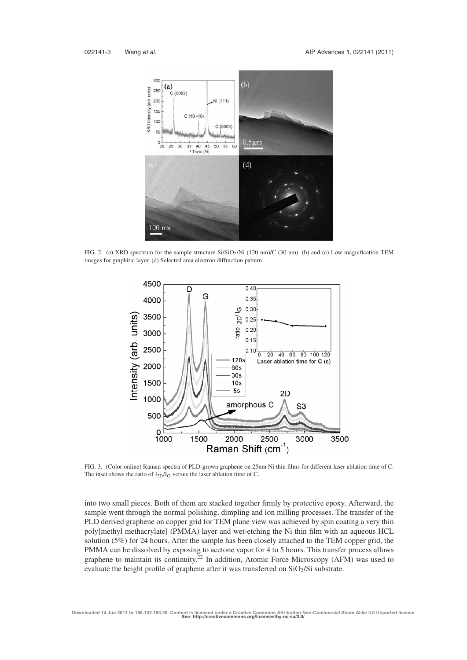

FIG. 2. (a) XRD spectrum for the sample structure Si/SiO<sub>2</sub>/Ni (120 nm)/C (30 nm). (b) and (c) Low magnification TEM images for graphitic layer. (d) Selected area electron diffraction pattern.



FIG. 3. (Color online) Raman spectra of PLD-grown graphene on 25nm Ni thin films for different laser ablation time of C. The inset shows the ratio of  $I_{2D}/I_G$  versus the laser ablation time of C.

into two small pieces. Both of them are stacked together firmly by protective epoxy. Afterward, the sample went through the normal polishing, dimpling and ion milling processes. The transfer of the PLD derived graphene on copper grid for TEM plane view was achieved by spin coating a very thin poly[methyl methacrylate] (PMMA) layer and wet-etching the Ni thin film with an aqueous HCL solution (5%) for 24 hours. After the sample has been closely attached to the TEM copper grid, the PMMA can be dissolved by exposing to acetone vapor for 4 to 5 hours. This transfer process allows graphene to maintain its continuity.<sup>22</sup> In addition, Atomic Force Microscopy (AFM) was used to evaluate the height profile of graphene after it was transferred on  $SiO_2/Si$  substrate.

**Downloaded 14 Jun 2011 to 158.132.183.20. Content is licensed under a Creative Commons Attribution Non-Commercial Share Alike 3.0 Unported license See: http://creativecommons.org/licenses/by-nc-sa/3.0/**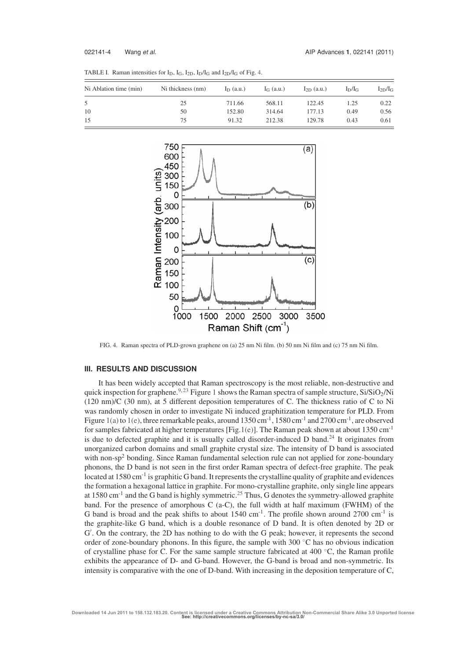| Ni Ablation time (min) | Ni thickness (nm) | $I_D$ (a.u.) | $I_G$ (a.u.) | $I_{2D}$ (a.u.) | $I_D/I_G$ | $I_{2D}/I_G$ |
|------------------------|-------------------|--------------|--------------|-----------------|-----------|--------------|
|                        | 25                | 711.66       | 568.11       | 122.45          | 1.25      | 0.22         |
| 10                     | 50                | 152.80       | 314.64       | 177.13          | 0.49      | 0.56         |
| 15                     | 75                | 91.32        | 212.38       | 129.78          | 0.43      | 0.61         |

TABLE I. Raman intensities for  $I_D$ ,  $I_G$ ,  $I_{2D}$ ,  $I_D/I_G$  and  $I_{2D}/I_G$  of Fig. 4.



FIG. 4. Raman spectra of PLD-grown graphene on (a) 25 nm Ni film. (b) 50 nm Ni film and (c) 75 nm Ni film.

### **III. RESULTS AND DISCUSSION**

It has been widely accepted that Raman spectroscopy is the most reliable, non-destructive and quick inspection for graphene.<sup>9, 23</sup> Figure 1 shows the Raman spectra of sample structure, Si/SiO<sub>2</sub>/Ni (120 nm)/C (30 nm), at 5 different deposition temperatures of C. The thickness ratio of C to Ni was randomly chosen in order to investigate Ni induced graphitization temperature for PLD. From Figure 1(a) to 1(e), three remarkable peaks, around  $1350 \text{ cm}^{-1}$ ,  $1580 \text{ cm}^{-1}$  and  $2700 \text{ cm}^{-1}$ , are observed for samples fabricated at higher temperatures [Fig.1(e)]. The Raman peak shown at about 1350 cm-1 is due to defected graphite and it is usually called disorder-induced D band.<sup>24</sup> It originates from unorganized carbon domains and small graphite crystal size. The intensity of D band is associated with non-sp<sup>2</sup> bonding. Since Raman fundamental selection rule can not applied for zone-boundary phonons, the D band is not seen in the first order Raman spectra of defect-free graphite. The peak located at  $1580 \text{ cm}^{-1}$  is graphitic G band. It represents the crystalline quality of graphite and evidences the formation a hexagonal lattice in graphite. For mono-crystalline graphite, only single line appears at 1580 cm<sup>-1</sup> and the G band is highly symmetric.<sup>25</sup> Thus, G denotes the symmetry-allowed graphite band. For the presence of amorphous C (a-C), the full width at half maximum (FWHM) of the G band is broad and the peak shifts to about  $1540 \text{ cm}^{-1}$ . The profile shown around  $2700 \text{ cm}^{-1}$  is the graphite-like G band, which is a double resonance of D band. It is often denoted by 2D or G . On the contrary, the 2D has nothing to do with the G peak; however, it represents the second order of zone-boundary phonons. In this figure, the sample with 300 ◦C has no obvious indication of crystalline phase for C. For the same sample structure fabricated at 400 ◦C, the Raman profile exhibits the appearance of D- and G-band. However, the G-band is broad and non-symmetric. Its intensity is comparative with the one of D-band. With increasing in the deposition temperature of C,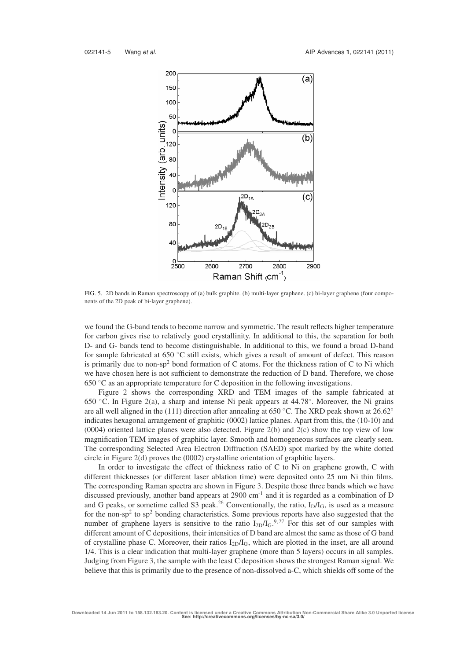

FIG. 5. 2D bands in Raman spectroscopy of (a) bulk graphite. (b) multi-layer graphene. (c) bi-layer graphene (four components of the 2D peak of bi-layer graphene).

we found the G-band tends to become narrow and symmetric. The result reflects higher temperature for carbon gives rise to relatively good crystallinity. In additional to this, the separation for both D- and G- bands tend to become distinguishable. In additional to this, we found a broad D-band for sample fabricated at 650 ◦C still exists, which gives a result of amount of defect. This reason is primarily due to non-sp<sup>2</sup> bond formation of C atoms. For the thickness ration of C to Ni which we have chosen here is not sufficient to demonstrate the reduction of D band. Therefore, we chose 650  $\degree$ C as an appropriate temperature for C deposition in the following investigations.

Figure 2 shows the corresponding XRD and TEM images of the sample fabricated at 650 ◦C. In Figure 2(a), a sharp and intense Ni peak appears at 44.78◦. Moreover, the Ni grains are all well aligned in the (111) direction after annealing at 650 °C. The XRD peak shown at 26.62° indicates hexagonal arrangement of graphitic (0002) lattice planes. Apart from this, the (10-10) and (0004) oriented lattice planes were also detected. Figure 2(b) and 2(c) show the top view of low magnification TEM images of graphitic layer. Smooth and homogeneous surfaces are clearly seen. The corresponding Selected Area Electron Diffraction (SAED) spot marked by the white dotted circle in Figure 2(d) proves the (0002) crystalline orientation of graphitic layers.

In order to investigate the effect of thickness ratio of C to Ni on graphene growth, C with different thicknesses (or different laser ablation time) were deposited onto 25 nm Ni thin films. The corresponding Raman spectra are shown in Figure 3. Despite those three bands which we have discussed previously, another band appears at 2900 cm-1 and it is regarded as a combination of D and G peaks, or sometime called S3 peak.<sup>26</sup> Conventionally, the ratio,  $I_D/I_G$ , is used as a measure for the non-sp<sup>2</sup> to sp<sup>2</sup> bonding characteristics. Some previous reports have also suggested that the number of graphene layers is sensitive to the ratio  $I_{2D}/I_G$ .<sup>9,27</sup> For this set of our samples with different amount of C depositions, their intensities of D band are almost the same as those of G band of crystalline phase C. Moreover, their ratios  $I_{2D}/I_G$ , which are plotted in the inset, are all around 1/4. This is a clear indication that multi-layer graphene (more than 5 layers) occurs in all samples. Judging from Figure 3, the sample with the least C deposition shows the strongest Raman signal. We believe that this is primarily due to the presence of non-dissolved a-C, which shields off some of the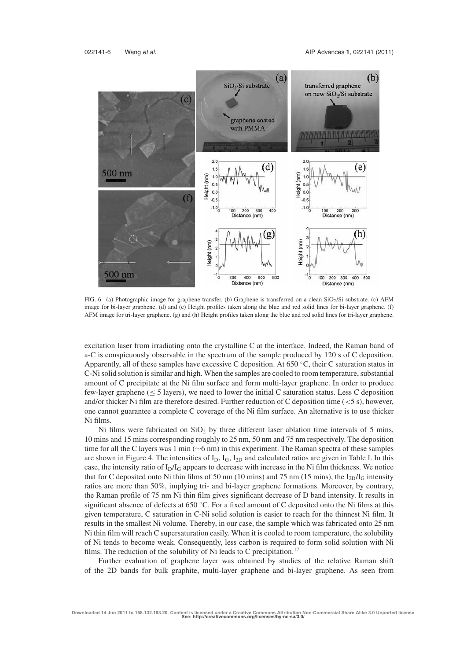

FIG. 6. (a) Photographic image for graphene transfer. (b) Graphene is transferred on a clean  $SiO<sub>2</sub>/Si$  substrate. (c) AFM image for bi-layer graphene. (d) and (e) Height profiles taken along the blue and red solid lines for bi-layer graphene. (f) AFM image for tri-layer graphene. (g) and (h) Height profiles taken along the blue and red solid lines for tri-layer graphene.

excitation laser from irradiating onto the crystalline C at the interface. Indeed, the Raman band of a-C is conspicuously observable in the spectrum of the sample produced by 120 s of C deposition. Apparently, all of these samples have excessive C deposition. At 650 °C, their C saturation status in C-Ni solid solution is similar and high. When the samples are cooled to room temperature, substantial amount of C precipitate at the Ni film surface and form multi-layer graphene. In order to produce few-layer graphene ( $\leq$  5 layers), we need to lower the initial C saturation status. Less C deposition and/or thicker Ni film are therefore desired. Further reduction of C deposition time  $(< 5 \text{ s})$ , however, one cannot guarantee a complete C coverage of the Ni film surface. An alternative is to use thicker Ni films.

Ni films were fabricated on  $SiO<sub>2</sub>$  by three different laser ablation time intervals of 5 mins, 10 mins and 15 mins corresponding roughly to 25 nm, 50 nm and 75 nm respectively. The deposition time for all the C layers was 1 min (∼6 nm) in this experiment. The Raman spectra of these samples are shown in Figure 4. The intensities of  $I_D$ ,  $I_G$ ,  $I_{2D}$  and calculated ratios are given in Table I. In this case, the intensity ratio of  $I_D/I_G$  appears to decrease with increase in the Ni film thickness. We notice that for C deposited onto Ni thin films of 50 nm (10 mins) and 75 nm (15 mins), the  $I_{2D}/I_G$  intensity ratios are more than 50%, implying tri- and bi-layer graphene formations. Moreover, by contrary, the Raman profile of 75 nm Ni thin film gives significant decrease of D band intensity. It results in significant absence of defects at 650 ◦C. For a fixed amount of C deposited onto the Ni films at this given temperature, C saturation in C-Ni solid solution is easier to reach for the thinnest Ni film. It results in the smallest Ni volume. Thereby, in our case, the sample which was fabricated onto 25 nm Ni thin film will reach C supersaturation easily. When it is cooled to room temperature, the solubility of Ni tends to become weak. Consequently, less carbon is required to form solid solution with Ni films. The reduction of the solubility of Ni leads to C precipitation.<sup>17</sup>

Further evaluation of graphene layer was obtained by studies of the relative Raman shift of the 2D bands for bulk graphite, multi-layer graphene and bi-layer graphene. As seen from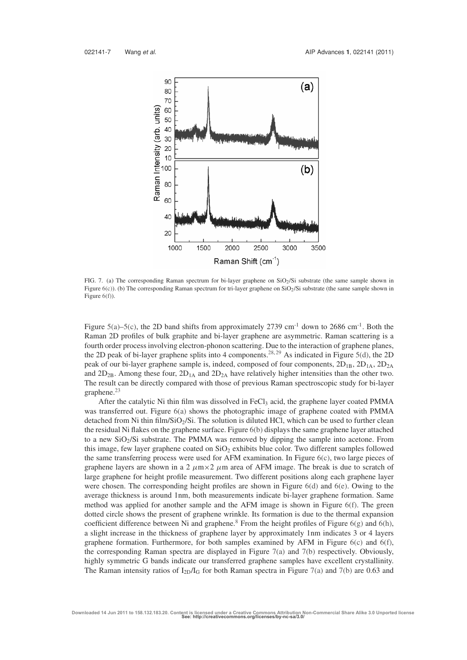

FIG. 7. (a) The corresponding Raman spectrum for bi-layer graphene on SiO<sub>2</sub>/Si substrate (the same sample shown in Figure 6(c)). (b) The corresponding Raman spectrum for tri-layer graphene on SiO<sub>2</sub>/Si substrate (the same sample shown in Figure  $6(f)$ ).

Figure 5(a)–5(c), the 2D band shifts from approximately 2739 cm<sup>-1</sup> down to 2686 cm<sup>-1</sup>. Both the Raman 2D profiles of bulk graphite and bi-layer graphene are asymmetric. Raman scattering is a fourth order process involving electron-phonon scattering. Due to the interaction of graphene planes, the 2D peak of bi-layer graphene splits into 4 components.<sup>28, 29</sup> As indicated in Figure 5(d), the 2D peak of our bi-layer graphene sample is, indeed, composed of four components,  $2D_{1B}$ ,  $2D_{1A}$ ,  $2D_{2A}$ and  $2D_{2B}$ . Among these four,  $2D_{1A}$  and  $2D_{2A}$  have relatively higher intensities than the other two. The result can be directly compared with those of previous Raman spectroscopic study for bi-layer graphene.<sup>23</sup>

After the catalytic Ni thin film was dissolved in  $FeCl<sub>3</sub>$  acid, the graphene layer coated PMMA was transferred out. Figure 6(a) shows the photographic image of graphene coated with PMMA detached from Ni thin film/SiO<sub>2</sub>/Si. The solution is diluted HCl, which can be used to further clean the residual Ni flakes on the graphene surface. Figure 6(b) displays the same graphene layer attached to a new  $SiO<sub>2</sub>/Si$  substrate. The PMMA was removed by dipping the sample into acetone. From this image, few layer graphene coated on  $SiO<sub>2</sub>$  exhibits blue color. Two different samples followed the same transferring process were used for AFM examination. In Figure  $6(c)$ , two large pieces of graphene layers are shown in a 2  $\mu$ m × 2  $\mu$ m area of AFM image. The break is due to scratch of large graphene for height profile measurement. Two different positions along each graphene layer were chosen. The corresponding height profiles are shown in Figure 6(d) and 6(e). Owing to the average thickness is around 1nm, both measurements indicate bi-layer graphene formation. Same method was applied for another sample and the AFM image is shown in Figure 6(f). The green dotted circle shows the present of graphene wrinkle. Its formation is due to the thermal expansion coefficient difference between Ni and graphene.<sup>8</sup> From the height profiles of Figure  $6(g)$  and  $6(h)$ , a slight increase in the thickness of graphene layer by approximately 1nm indicates 3 or 4 layers graphene formation. Furthermore, for both samples examined by AFM in Figure  $6(c)$  and  $6(f)$ , the corresponding Raman spectra are displayed in Figure  $7(a)$  and  $7(b)$  respectively. Obviously, highly symmetric G bands indicate our transferred graphene samples have excellent crystallinity. The Raman intensity ratios of  $I_{2D}/I_G$  for both Raman spectra in Figure 7(a) and 7(b) are 0.63 and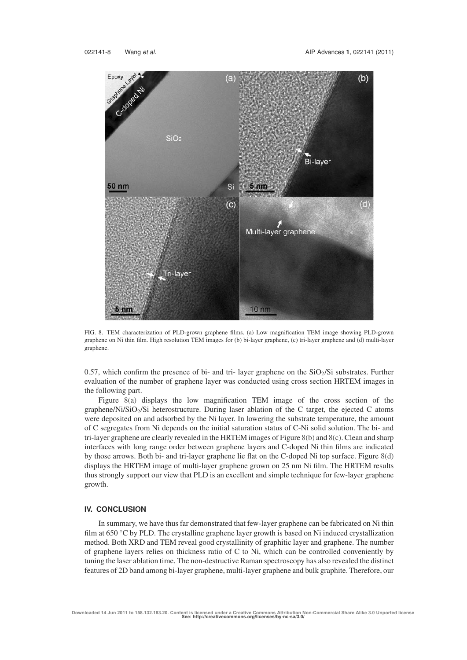

FIG. 8. TEM characterization of PLD-grown graphene films. (a) Low magnification TEM image showing PLD-grown graphene on Ni thin film. High resolution TEM images for (b) bi-layer graphene, (c) tri-layer graphene and (d) multi-layer graphene.

0.57, which confirm the presence of bi- and tri- layer graphene on the  $SiO<sub>2</sub>/Si$  substrates. Further evaluation of the number of graphene layer was conducted using cross section HRTEM images in the following part.

Figure 8(a) displays the low magnification TEM image of the cross section of the graphene/Ni/SiO<sub>2</sub>/Si heterostructure. During laser ablation of the C target, the ejected C atoms were deposited on and adsorbed by the Ni layer. In lowering the substrate temperature, the amount of C segregates from Ni depends on the initial saturation status of C-Ni solid solution. The bi- and tri-layer graphene are clearly revealed in the HRTEM images of Figure 8(b) and 8(c). Clean and sharp interfaces with long range order between graphene layers and C-doped Ni thin films are indicated by those arrows. Both bi- and tri-layer graphene lie flat on the C-doped Ni top surface. Figure 8(d) displays the HRTEM image of multi-layer graphene grown on 25 nm Ni film. The HRTEM results thus strongly support our view that PLD is an excellent and simple technique for few-layer graphene growth.

## **IV. CONCLUSION**

In summary, we have thus far demonstrated that few-layer graphene can be fabricated on Ni thin film at 650  $\degree$ C by PLD. The crystalline graphene layer growth is based on Ni induced crystallization method. Both XRD and TEM reveal good crystallinity of graphitic layer and graphene. The number of graphene layers relies on thickness ratio of C to Ni, which can be controlled conveniently by tuning the laser ablation time. The non-destructive Raman spectroscopy has also revealed the distinct features of 2D band among bi-layer graphene, multi-layer graphene and bulk graphite. Therefore, our